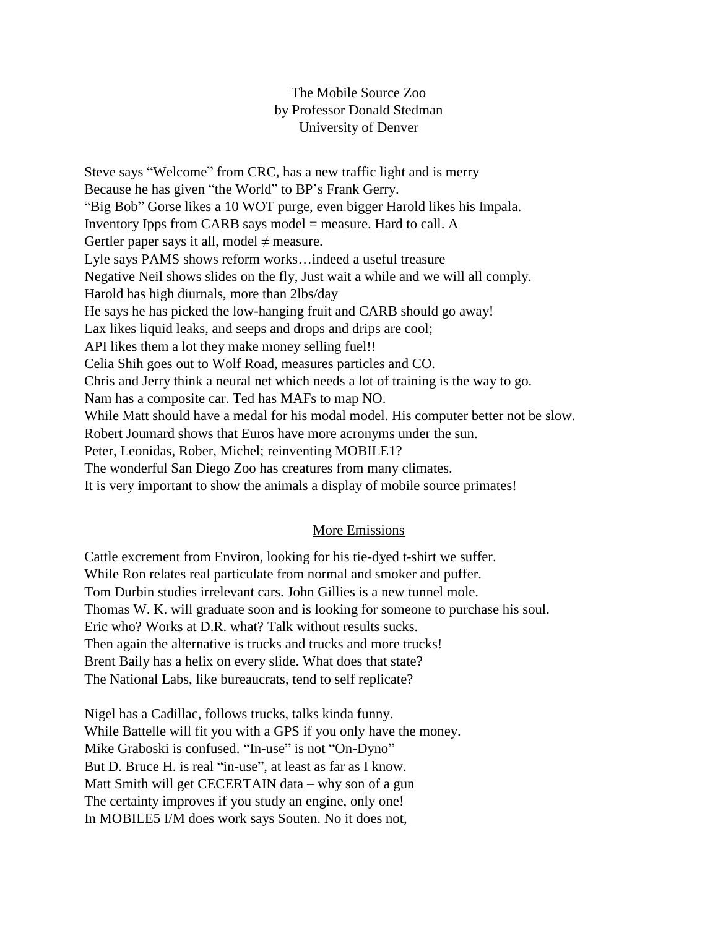## The Mobile Source Zoo by Professor Donald Stedman University of Denver

Steve says "Welcome" from CRC, has a new traffic light and is merry Because he has given "the World" to BP's Frank Gerry. "Big Bob" Gorse likes a 10 WOT purge, even bigger Harold likes his Impala. Inventory Ipps from CARB says model = measure. Hard to call. A Gertler paper says it all, model  $\neq$  measure. Lyle says PAMS shows reform works…indeed a useful treasure Negative Neil shows slides on the fly, Just wait a while and we will all comply. Harold has high diurnals, more than 2lbs/day He says he has picked the low-hanging fruit and CARB should go away! Lax likes liquid leaks, and seeps and drops and drips are cool; API likes them a lot they make money selling fuel!! Celia Shih goes out to Wolf Road, measures particles and CO. Chris and Jerry think a neural net which needs a lot of training is the way to go. Nam has a composite car. Ted has MAFs to map NO. While Matt should have a medal for his modal model. His computer better not be slow. Robert Joumard shows that Euros have more acronyms under the sun. Peter, Leonidas, Rober, Michel; reinventing MOBILE1? The wonderful San Diego Zoo has creatures from many climates. It is very important to show the animals a display of mobile source primates!

## More Emissions

Cattle excrement from Environ, looking for his tie-dyed t-shirt we suffer. While Ron relates real particulate from normal and smoker and puffer. Tom Durbin studies irrelevant cars. John Gillies is a new tunnel mole. Thomas W. K. will graduate soon and is looking for someone to purchase his soul. Eric who? Works at D.R. what? Talk without results sucks. Then again the alternative is trucks and trucks and more trucks! Brent Baily has a helix on every slide. What does that state? The National Labs, like bureaucrats, tend to self replicate?

Nigel has a Cadillac, follows trucks, talks kinda funny. While Battelle will fit you with a GPS if you only have the money. Mike Graboski is confused. "In-use" is not "On-Dyno" But D. Bruce H. is real "in-use", at least as far as I know. Matt Smith will get CECERTAIN data – why son of a gun The certainty improves if you study an engine, only one! In MOBILE5 I/M does work says Souten. No it does not,